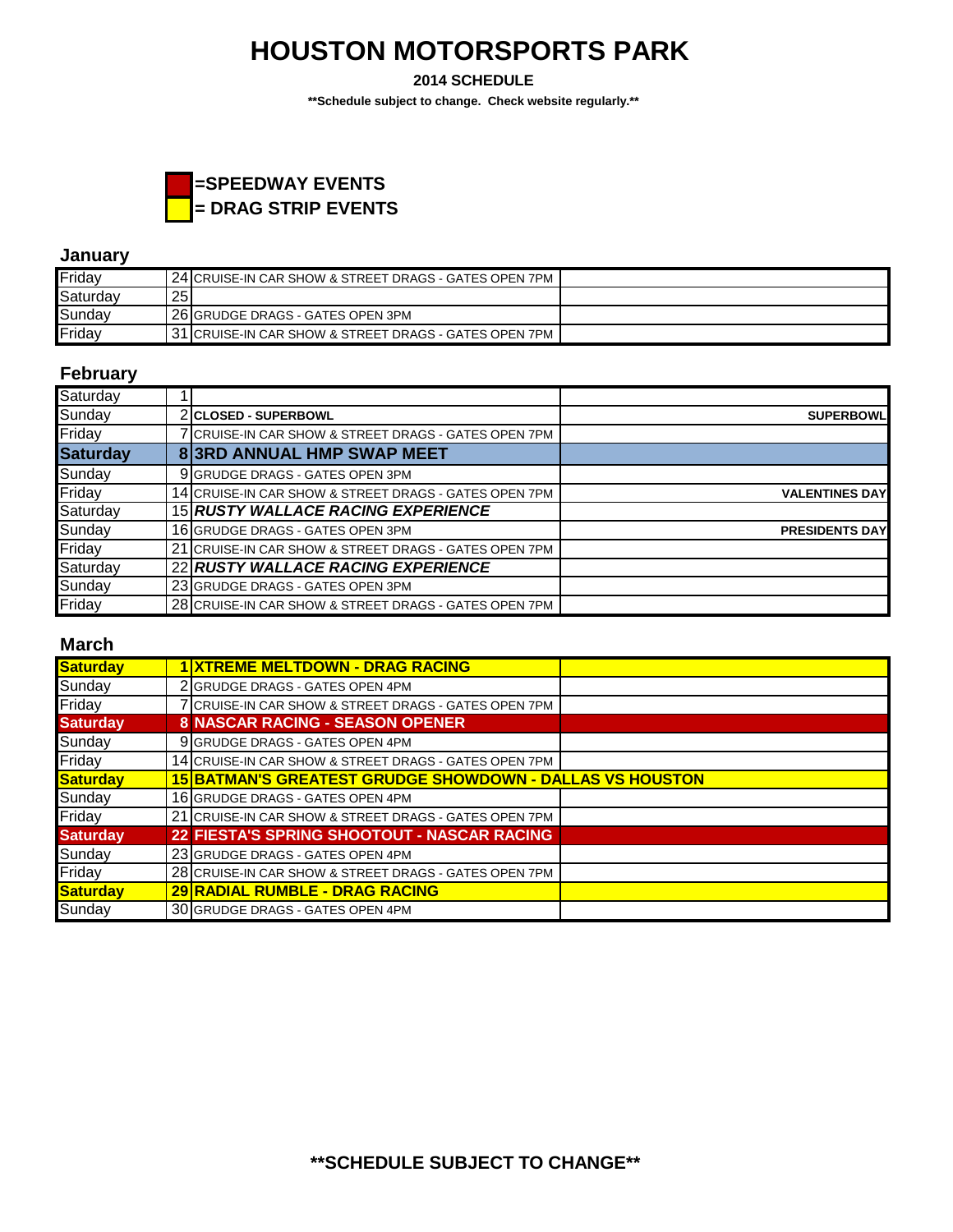**2014 SCHEDULE**

**\*\*Schedule subject to change. Check website regularly.\*\***



### **January**

| Friday   |    | . 24 ICRUISE-IN CAR SHOW & STREET DRAGS - GATES OPEN 7PM |  |
|----------|----|----------------------------------------------------------|--|
| Saturday | 25 |                                                          |  |
| Sunday   |    | 126 GRUDGE DRAGS - GATES OPEN 3PM                        |  |
| Friday   |    | 31  CRUISE-IN CAR SHOW & STREET DRAGS - GATES OPEN 7PM   |  |

## **February**

| Saturday        |                                                       |                       |
|-----------------|-------------------------------------------------------|-----------------------|
| Sunday          | 2 CLOSED - SUPERBOWL                                  | <b>SUPERBOWL</b>      |
| Friday          | CRUISE-IN CAR SHOW & STREET DRAGS - GATES OPEN 7PM    |                       |
| <b>Saturday</b> | 83RD ANNUAL HMP SWAP MEET                             |                       |
| Sunday          | 9 GRUDGE DRAGS - GATES OPEN 3PM                       |                       |
| Friday          | 14 CRUISE-IN CAR SHOW & STREET DRAGS - GATES OPEN 7PM | <b>VALENTINES DAY</b> |
| Saturday        | 15 RUSTY WALLACE RACING EXPERIENCE                    |                       |
| Sunday          | 16 GRUDGE DRAGS - GATES OPEN 3PM                      | <b>PRESIDENTS DAY</b> |
| Friday          | 21 CRUISE-IN CAR SHOW & STREET DRAGS - GATES OPEN 7PM |                       |
| Saturday        | 22 RUSTY WALLACE RACING EXPERIENCE                    |                       |
| Sunday          | 23 GRUDGE DRAGS - GATES OPEN 3PM                      |                       |
| Friday          | 28 CRUISE-IN CAR SHOW & STREET DRAGS - GATES OPEN 7PM |                       |

### **March**

| <b>Saturday</b> | <b>XTREME MELTDOWN - DRAG RACING</b>                            |  |
|-----------------|-----------------------------------------------------------------|--|
| Sunday          | 2 GRUDGE DRAGS - GATES OPEN 4PM                                 |  |
| Friday          | 7 CRUISE-IN CAR SHOW & STREET DRAGS - GATES OPEN 7PM            |  |
| <b>Saturday</b> | <b>8 NASCAR RACING - SEASON OPENER</b>                          |  |
| Sunday          | 9 GRUDGE DRAGS - GATES OPEN 4PM                                 |  |
| Friday          | 14 CRUISE-IN CAR SHOW & STREET DRAGS - GATES OPEN 7PM           |  |
| Saturday        | <b>15 BATMAN'S GREATEST GRUDGE SHOWDOWN - DALLAS VS HOUSTON</b> |  |
| Sunday          | 16 GRUDGE DRAGS - GATES OPEN 4PM                                |  |
| Friday          | 21 CRUISE-IN CAR SHOW & STREET DRAGS - GATES OPEN 7PM           |  |
| <b>Saturday</b> | 22 FIESTA'S SPRING SHOOTOUT - NASCAR RACING                     |  |
| Sunday          | 23 GRUDGE DRAGS - GATES OPEN 4PM                                |  |
| Friday          | 28 CRUISE-IN CAR SHOW & STREET DRAGS - GATES OPEN 7PM           |  |
| <b>Saturday</b> | 29 RADIAL RUMBLE - DRAG RACING                                  |  |
| Sunday          | 30 GRUDGE DRAGS - GATES OPEN 4PM                                |  |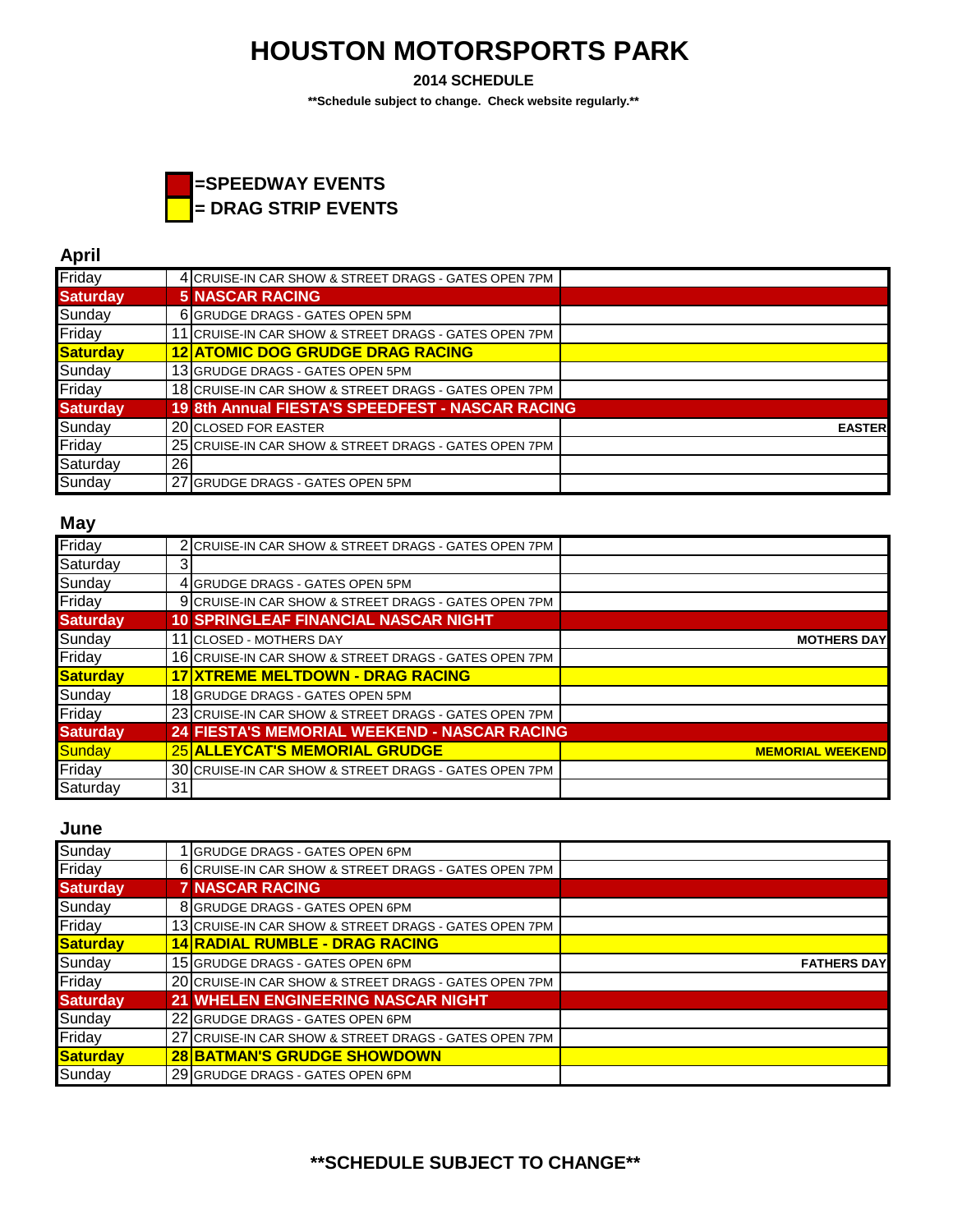**2014 SCHEDULE**

**\*\*Schedule subject to change. Check website regularly.\*\***



## **April**

| Friday          |    | 4 CRUISE-IN CAR SHOW & STREET DRAGS - GATES OPEN 7PM    |               |
|-----------------|----|---------------------------------------------------------|---------------|
| <b>Saturday</b> |    | <b>5 NASCAR RACING</b>                                  |               |
| Sunday          |    | 6 GRUDGE DRAGS - GATES OPEN 5PM                         |               |
| Friday          |    | 11 CRUISE-IN CAR SHOW & STREET DRAGS - GATES OPEN 7PM   |               |
| <b>Saturday</b> |    | <b>12 ATOMIC DOG GRUDGE DRAG RACING</b>                 |               |
| Sunday          |    | 13 GRUDGE DRAGS - GATES OPEN 5PM                        |               |
| Friday          |    | 18 CRUISE-IN CAR SHOW & STREET DRAGS - GATES OPEN 7PM   |               |
| <b>Saturday</b> |    | <b>19 8th Annual FIESTA'S SPEEDFEST - NASCAR RACING</b> |               |
| Sunday          |    | 20 CLOSED FOR EASTER                                    | <b>EASTER</b> |
| Friday          |    | 25 CRUISE-IN CAR SHOW & STREET DRAGS - GATES OPEN 7PM   |               |
| Saturday        | 26 |                                                         |               |
| Sunday          |    | 27 GRUDGE DRAGS - GATES OPEN 5PM                        |               |

#### **May**

| Friday          |    | 2 CRUISE-IN CAR SHOW & STREET DRAGS - GATES OPEN 7PM  |                         |
|-----------------|----|-------------------------------------------------------|-------------------------|
| Saturday        |    |                                                       |                         |
| Sunday          |    | 4 GRUDGE DRAGS - GATES OPEN 5PM                       |                         |
| Friday          |    | 9 CRUISE-IN CAR SHOW & STREET DRAGS - GATES OPEN 7PM  |                         |
| <b>Saturday</b> |    | <b>10 SPRINGLEAF FINANCIAL NASCAR NIGHT</b>           |                         |
| Sunday          |    | 11 ICLOSED - MOTHERS DAY                              | <b>MOTHERS DAY</b>      |
| Friday          |    | 16 CRUISE-IN CAR SHOW & STREET DRAGS - GATES OPEN 7PM |                         |
| Saturday        |    | <b>17 XTREME MELTDOWN - DRAG RACING</b>               |                         |
| Sunday          |    | 18 GRUDGE DRAGS - GATES OPEN 5PM                      |                         |
| Friday          |    | 23 CRUISE-IN CAR SHOW & STREET DRAGS - GATES OPEN 7PM |                         |
| <b>Saturday</b> |    | 24 FIESTA'S MEMORIAL WEEKEND - NASCAR RACING          |                         |
| <b>Sunday</b>   |    | 25 ALLEYCAT'S MEMORIAL GRUDGE                         | <b>MEMORIAL WEEKEND</b> |
| Friday          |    | 30 CRUISE-IN CAR SHOW & STREET DRAGS - GATES OPEN 7PM |                         |
| Saturday        | 31 |                                                       |                         |

#### **June**

| Sunday          | <b>GRUDGE DRAGS - GATES OPEN 6PM</b>                  |                    |
|-----------------|-------------------------------------------------------|--------------------|
| Friday          | 6 CRUISE-IN CAR SHOW & STREET DRAGS - GATES OPEN 7PM  |                    |
| <b>Saturday</b> | <b>7 NASCAR RACING</b>                                |                    |
| Sunday          | 8 GRUDGE DRAGS - GATES OPEN 6PM                       |                    |
| Friday          | 13 CRUISE-IN CAR SHOW & STREET DRAGS - GATES OPEN 7PM |                    |
| Saturday        | <b>14 RADIAL RUMBLE - DRAG RACING</b>                 |                    |
| Sunday          | 15 GRUDGE DRAGS - GATES OPEN 6PM                      | <b>FATHERS DAY</b> |
| Friday          | 20 CRUISE-IN CAR SHOW & STREET DRAGS - GATES OPEN 7PM |                    |
| <b>Saturday</b> | 21 WHELEN ENGINEERING NASCAR NIGHT                    |                    |
| Sunday          | 22 GRUDGE DRAGS - GATES OPEN 6PM                      |                    |
| Friday          | 27 CRUISE-IN CAR SHOW & STREET DRAGS - GATES OPEN 7PM |                    |
| Saturday        | <b>28 BATMAN'S GRUDGE SHOWDOWN</b>                    |                    |
| Sunday          | 29 GRUDGE DRAGS - GATES OPEN 6PM                      |                    |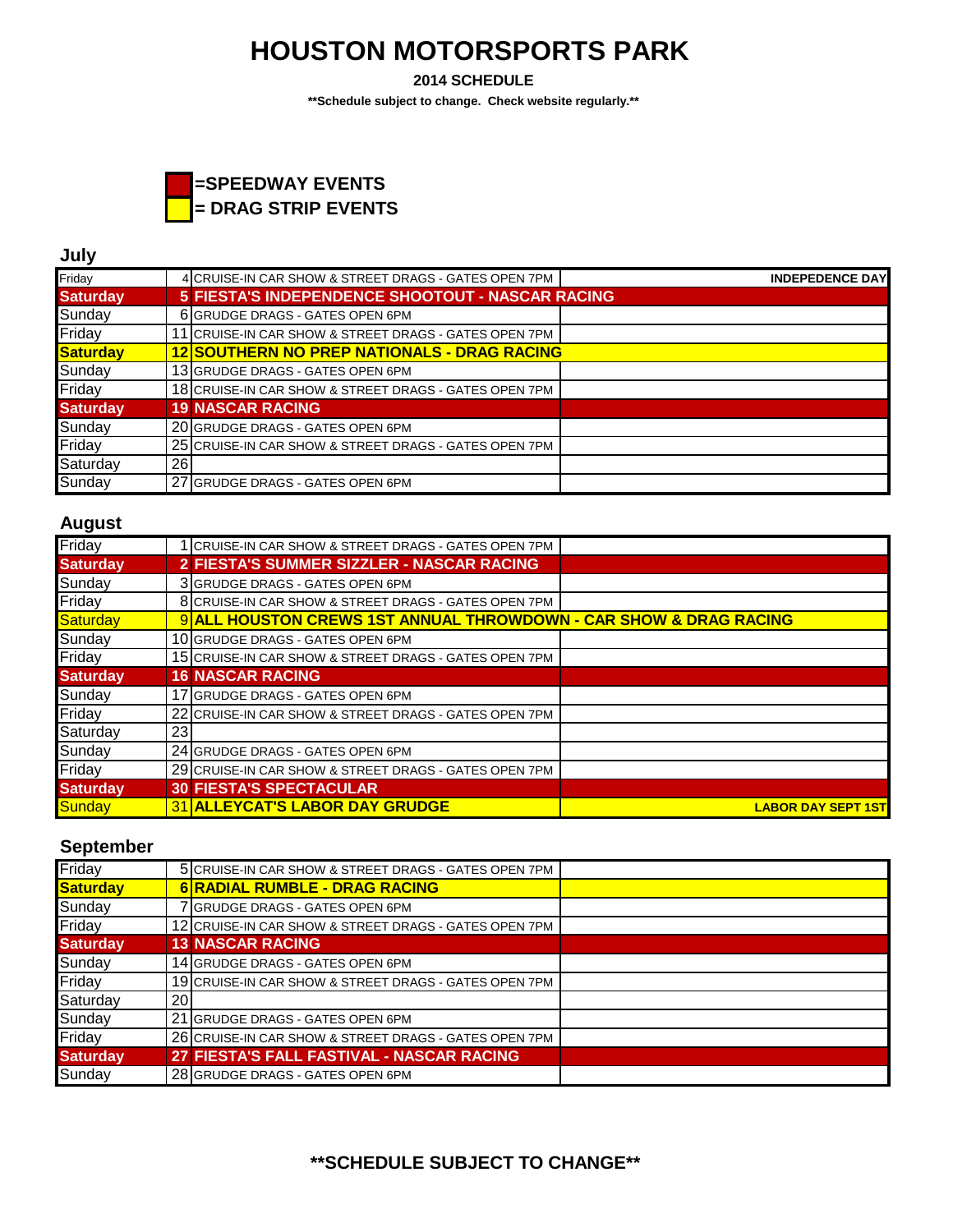**2014 SCHEDULE**

**\*\*Schedule subject to change. Check website regularly.\*\***



### **July**

| Friday          |    | 4 CRUISE-IN CAR SHOW & STREET DRAGS - GATES OPEN 7PM  | <b>INDEPEDENCE DAY</b> |
|-----------------|----|-------------------------------------------------------|------------------------|
| <b>Saturday</b> |    | 5 FIESTA'S INDEPENDENCE SHOOTOUT - NASCAR RACING      |                        |
| Sunday          |    | 6 GRUDGE DRAGS - GATES OPEN 6PM                       |                        |
| Friday          |    | 11 CRUISE-IN CAR SHOW & STREET DRAGS - GATES OPEN 7PM |                        |
| <b>Saturday</b> |    | <b>12 SOUTHERN NO PREP NATIONALS - DRAG RACING</b>    |                        |
| Sunday          |    | 13 GRUDGE DRAGS - GATES OPEN 6PM                      |                        |
| Friday          |    | 18 CRUISE-IN CAR SHOW & STREET DRAGS - GATES OPEN 7PM |                        |
| <b>Saturday</b> |    | <b>19 NASCAR RACING</b>                               |                        |
| Sunday          |    | 20 GRUDGE DRAGS - GATES OPEN 6PM                      |                        |
| Friday          |    | 25 CRUISE-IN CAR SHOW & STREET DRAGS - GATES OPEN 7PM |                        |
| Saturday        | 26 |                                                       |                        |
| Sunday          |    | 27 GRUDGE DRAGS - GATES OPEN 6PM                      |                        |

#### **August**

| Friday          | I CRUISE-IN CAR SHOW & STREET DRAGS - GATES OPEN 7PM              |                           |
|-----------------|-------------------------------------------------------------------|---------------------------|
| <b>Saturday</b> | 2 FIESTA'S SUMMER SIZZLER - NASCAR RACING                         |                           |
| Sunday          | 3 GRUDGE DRAGS - GATES OPEN 6PM                                   |                           |
| Friday          | 8 CRUISE-IN CAR SHOW & STREET DRAGS - GATES OPEN 7PM              |                           |
| Saturday        | 9 ALL HOUSTON CREWS 1ST ANNUAL THROWDOWN - CAR SHOW & DRAG RACING |                           |
| Sunday          | 10 GRUDGE DRAGS - GATES OPEN 6PM                                  |                           |
| Friday          | 15 CRUISE-IN CAR SHOW & STREET DRAGS - GATES OPEN 7PM             |                           |
| <b>Saturday</b> | <b>16 NASCAR RACING</b>                                           |                           |
| Sunday          | 17 GRUDGE DRAGS - GATES OPEN 6PM                                  |                           |
| Friday          | 22 CRUISE-IN CAR SHOW & STREET DRAGS - GATES OPEN 7PM             |                           |
| Saturday        | 23                                                                |                           |
| Sunday          | 24 GRUDGE DRAGS - GATES OPEN 6PM                                  |                           |
| Friday          | 29 CRUISE-IN CAR SHOW & STREET DRAGS - GATES OPEN 7PM             |                           |
| <b>Saturday</b> | <b>30 FIESTA'S SPECTACULAR</b>                                    |                           |
| Sunday          | 31 ALLEYCAT'S LABOR DAY GRUDGE                                    | <b>LABOR DAY SEPT 1ST</b> |

### **September**

| Friday          |    | 5 CRUISE-IN CAR SHOW & STREET DRAGS - GATES OPEN 7PM  |  |
|-----------------|----|-------------------------------------------------------|--|
| Saturday        |    | 6 RADIAL RUMBLE - DRAG RACING                         |  |
| Sunday          |    | 7 GRUDGE DRAGS - GATES OPEN 6PM                       |  |
| Friday          |    | 12 CRUISE-IN CAR SHOW & STREET DRAGS - GATES OPEN 7PM |  |
| <b>Saturday</b> |    | <b>13 NASCAR RACING</b>                               |  |
| Sunday          |    | 14 GRUDGE DRAGS - GATES OPEN 6PM                      |  |
| Friday          |    | 19 CRUISE-IN CAR SHOW & STREET DRAGS - GATES OPEN 7PM |  |
| Saturday        | 20 |                                                       |  |
| Sunday          |    | 21 GRUDGE DRAGS - GATES OPEN 6PM                      |  |
| Friday          |    | 26 CRUISE-IN CAR SHOW & STREET DRAGS - GATES OPEN 7PM |  |
| <b>Saturday</b> |    | 27 FIESTA'S FALL FASTIVAL - NASCAR RACING             |  |
| Sunday          |    | 28 GRUDGE DRAGS - GATES OPEN 6PM                      |  |